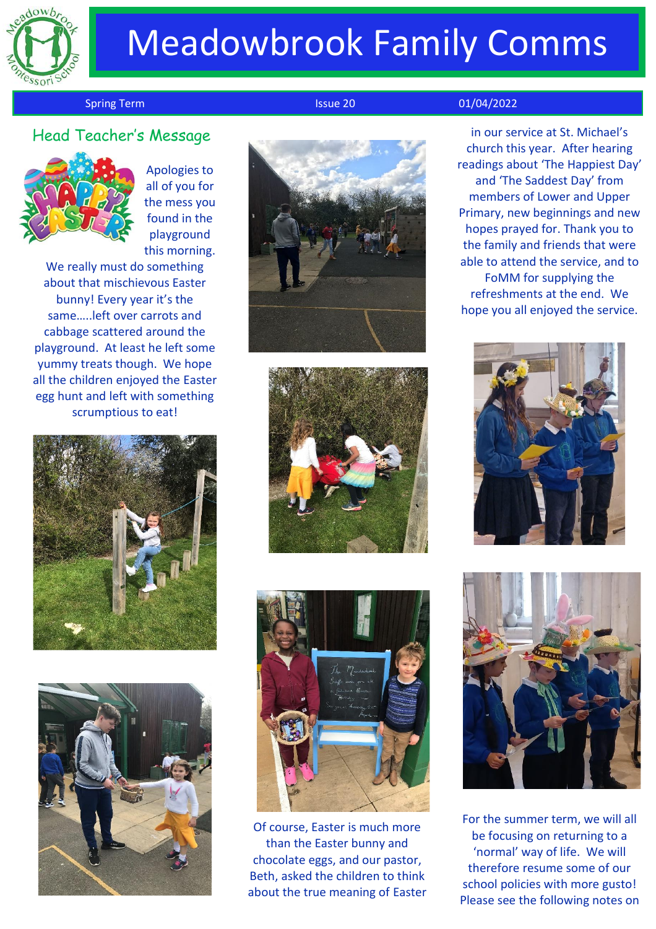

# Meadowbrook Family Comms

#### Spring Term **Issue 20** 01/04/2022

in our service at St. Michael's church this year. After hearing readings about 'The Happiest Day' and 'The Saddest Day' from members of Lower and Upper Primary, new beginnings and new hopes prayed for. Thank you to the family and friends that were able to attend the service, and to FoMM for supplying the refreshments at the end. We hope you all enjoyed the service.





For the summer term, we will all be focusing on returning to a 'normal' way of life. We will therefore resume some of our school policies with more gusto! Please see the following notes on

Head Teacher's Messag<sup>e</sup>



Apologies to all of you for the mess you found in the playground this morning.

We really must do something about that mischievous Easter bunny! Every year it's the same…..left over carrots and cabbage scattered around the playground. At least he left some yummy treats though. We hope all the children enjoyed the Easter egg hunt and left with something scrumptious to eat!











Of course, Easter is much more than the Easter bunny and chocolate eggs, and our pastor, Beth, asked the children to think about the true meaning of Easter